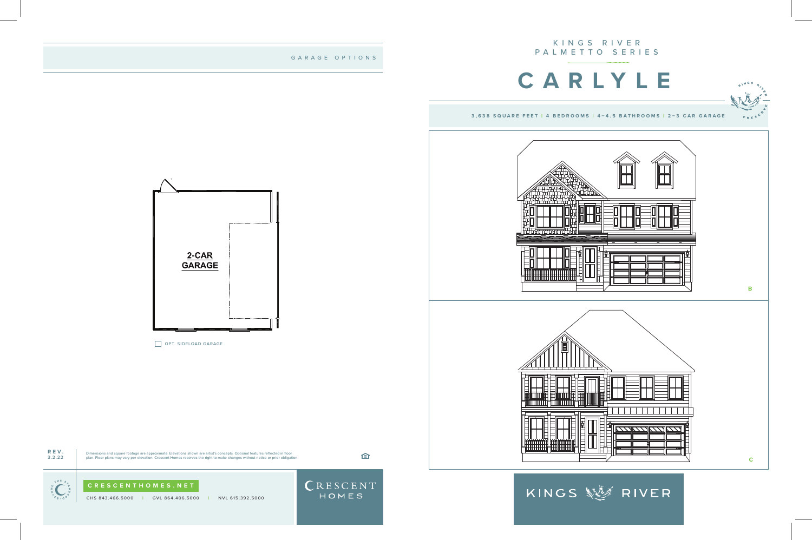## KINGS RIVER PALMETTO SERIES

CHS 843.466.5000 **|** GVL 864.406.5000 **|** NVL 615.392.5000











 $\begin{bmatrix} \sum_{i=1}^{n} \sum_{i=1}^{n} \sum_{j=1}^{n} \sum_{j=1}^{n} \sum_{j=1}^{n} \sum_{j=1}^{n} \sum_{j=1}^{n} \sum_{j=1}^{n} \sum_{j=1}^{n} \sum_{j=1}^{n} \sum_{j=1}^{n} \sum_{j=1}^{n} \sum_{j=1}^{n} \sum_{j=1}^{n} \sum_{j=1}^{n} \sum_{j=1}^{n} \sum_{j=1}^{n} \sum_{j=1}^{n} \sum_{j=1}^{n} \sum_{j=1}^{n} \sum_{j=1}^{n} \sum_{j$ 



GARAGE OPTIONS



OPT. SIDELOAD GARAGE

**3,638 SQUARE FEET | 4 BEDROOMS | 4–4.5 BATHROOMS | 2–3 CAR GARAGE**

KINGS 經濟 RIVER





## **CARLYLE**